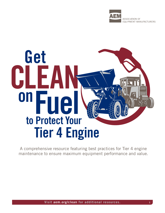

# **Get CLEA onFuel Tier 4 Engine to Protect Your**

A comprehensive resource featuring best practices for Tier 4 engine maintenance to ensure maximum equipment performance and value.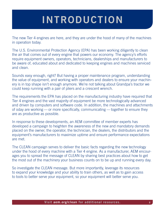# **INTRODUCTION**

The new Tier 4 engines are here, and they are under the hood of many of the machines in operation today.

The U.S. Environmental Protection Agency (EPA) has been working diligently to clean the air that comes out of every engine that powers our economy. The agency's efforts require equipment owners, operators, technicians, dealerships and manufacturers to be aware of, educated about and dedicated to keeping engines and machines serviced and clean.

Sounds easy enough, right? But having a proper maintenance program, understanding the value of equipment, and working with operators and dealers to ensure your machinery is in top shape isn't enough anymore. We're not talking about Grandpa's tractor we could keep running with a pair of pliers and a crescent wrench.

The requirements the EPA has placed on the manufacturing industry have required that Tier 4 engines and the vast majority of equipment be more technologically advanced and driven by computers and software code. In addition, the machines and attachments of oday are working — or more specifically, communicating — together to ensure they are as productive as possible.

In response to these developments, an AEM committee of member experts has developed a campaign to heighten the awareness of the new and mandatory demands placed on the owner, the operator, the technician, the dealers, the distributors and the equipment's manufacturers to maximize uptime and ensure performance expectations are met.

The CLEAN campaign serves to deliver the basic facts regarding the new technology under the hood of every machine with a Tier 4 engine. As a manufacturer, AEM encourages you to spread the message of CLEAN by sharing best practices about how to get the most out of the machinery your business counts on to be up and running every day.

So investigate the CLEAN message. But more importantly, leverage its resources to expand your knowledge and your ability to train others, as well as to gain access to tools to better serve your equipment, so your equipment will better serve you.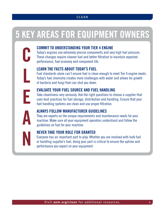# **5 KEY AREAS FOR EQUIPMENT OWNERS**

#### **COMMIT TO UNDERSTANDING YOUR TIER 4 ENGINE**

Today's engines use extremely precise components and very high fuel pressure. These changes require cleaner fuel and better filtration to maintain expected performance, fuel economy and component life.

#### **LEARN THE FACTS ABOUT TODAY'S FUEL**

Fuel standards alone can't ensure fuel is clean enough to meet Tier 4 engine needs. Today's fuel chemistry creates more challenges with water and allows for growth of bacteria and fungi that can shut you down.

#### **EVALUATE YOUR FUEL SOURCE AND FUEL HANDLING**

Take cleanliness very seriously. Ask the right questions to choose a supplier that uses best practices for fuel storage, distribution and handling. Ensure that your fuel handling systems are clean and use proper filtration.

# **A**

**N**

**C**

**L**

**E**

#### **ALWAYS FOLLOW MANUFACTURER GUIDELINES**

They are experts on the unique requirements and maintenance needs for your machine. Make sure all your equipment operators understand and follow the guidelines on fuel for your machine.

#### **NEVER TAKE YOUR ROLE FOR GRANTED**

Everyone has an important part to play. Whether you are involved with bulk fuel or handling supplier's fuel, doing your part is critical to ensure the uptime and performance you expect on your equipment.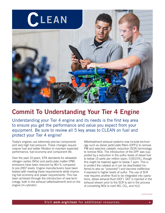

# **Commit To Understanding Your Tier 4 Engine**

Understanding your Tier 4 engine and its needs is the first key area to ensure you get the performance and value you expect from your equipment. Be sure to review all 5 key areas to CLEAN on fuel and protect your Tier 4 engine!

Today's engines use extremely precise components and very high fuel pressure. These changes require cleaner fuel and better filtration to maintain expected performance, fuel economy and component life.

Over the past 10 years, EPA standards for allowable nitrogen oxides (NOx) and particulate matter (PM) emissions have been reduced by 90+% compared to pre-2007 levels. Engine manufacturers have been tasked with meeting these requirements while improving fuel economy and power requirements. This has been achieved through the introduction of new technology, both in the exhaust (aftertreatment) and on the engine (in-cylinder).

Aftertreatment exhaust systems now include technology such as diesel particulate filters (DPFs) to remove PM and selective catalytic reduction (SCR) technology to remove NOx. The introduction of the DPF was supported by a reduction in the sulfur levels of diesel fuel to below 15 parts per million (ppm, 0.0015%), though this might be lowered again to below 7 ppm. This is to protect the catalyst as it can be deactivated (referred to also as "poisoned") and become ineffective if exposed to higher levels of sulfur. The use of SCR now requires another fluid to be integrated into operations, diesel exhaust fluid (DEF). DEF is injected in the exhaust stream prior to the SCR to aid in the process of converting NOx to inert NO,  $CO<sub>2</sub>$ , and H<sub>2</sub>O.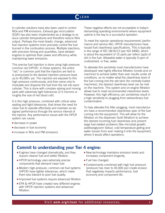In-cylinder solutions have also been used to control NOx and PM emissions. Exhaust gas recirculation (EGR) has also been implemented as a strategy to reduce cylinder temperatures and therefore reduce NOx output. Perhaps the most drastic change, advanced fuel injection systems more precisely control the fuel burned in the combustion process. Multiple injections, with precision timing and quantities, have allowed engines to optimize their power and efficiency while maintaining lower emissions.

This precise fuel injection is done using high-pressure common rail (HPCR). In these systems, the entire "rail," or common port that the injectors are tied to is pressurized to the desired injection pressure level, up to 45,000+ psi. The injectors are exposed to this high pressure continuously, and then serve only to modulate and disperse the fuel from the rail into each cylinder. This is done with complex valving and moving parts with extremely tight tolerances (2-5 microns or roughly the size of red blood cell).

It is this high pressure, combined with critical valve seating and tight tolerances, that drives the need for clean fuel to operate effectively and maintain as-designed performance through the service interval of the injector. Any performance issues with the HPCR system can cause:

- **decrease in power**
- $\blacksquare$  decrease in fuel economy
- $\blacksquare$  increase in NOx and PM emissions

These negative effects are not acceptable in today's demanding operating environments where equipment uptime is the key to a successful operation.

To meet the injector operational requirements (performance and service life), HPCR manufacturers have issued fuel cleanliness specifications. This is typically in the range of ISO 18/16/13 (per ISO 4406), which is about the equivalent of 15 parts per billion (ppb) of dirt in the fuel. Allowable water is typically 0 ppm of undissolved, or free, water.

To alleviate this sensitivity most manufacturers have developed new highly effective filtration (onsite and on machine) to achieve better than ever results under all conditions, so no matter what the cleanliness level of the fuel coming into the site tank (for centrally fueled machines), the desired cleanliness level can be met on the machine. This system and on-engine filtration allows fuel to meet recommended cleanliness levels. However, this high efficiency can sometimes result in a high sensitivity to plugging from extraordinary fuel contamination.

To help alleviate this filter plugging, most manufacturers have a recommended cleanliness spec of the fuel coming into the equipment. This will allow for the filtration on the dispenser (bulk filtration) to achieve the desired incoming fuel cleanliness and prevent large fuel-related problems (like microbial growth, additive/glycerin fallout, cold temperature gelling and water issues) from ever making it onto the equipment, where it would affect operations.

#### **Commit to understanding your Tier 4 engine:**

- $\blacksquare$  Engines have changed dramatically, and they require cleaner fuel and better filtration.
- **HPCR** technology uses extremely precise components that demand clean fuel.
- Modern high-pressure, common-rail fuel systems (HPCR) have tighter tolerances, which make them less tolerant to poor fuel quality.
- **n** Improved fuel systems require advanced filtration
- EPA & HPCR have created very different engines with HPCR injection systems and advanced filtration.
- $\blacksquare$  New technology maintains emission levels and increases component longevity.
- $\blacksquare$  Fuel has changed.
- $\blacksquare$  Contaminants combined with high fuel pressure (pressure has risen to 45,000 psi) create erosion that negatively impacts performance, fuel economy and component life.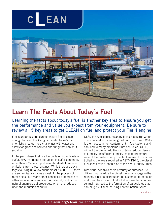

## **Learn The Facts About Today's Fuel**

Learning the facts about today's fuel is another key area to ensure you get the performance and value you expect from your equipment. Be sure to review all 5 key areas to get CLEAN on fuel and protect your Tier 4 engine!

Fuel standards alone cannot ensure fuel is clean enough to meet Tier 4 engine needs. Today's fuel chemistry creates more challenges with water and allows for growth of bacteria and fungi that can shut you down.

In the past, diesel fuel used to contain higher levels of sulfur. EPA mandated a reduction in sulfur content by more than 97% to support new standards to reduce emissions from diesel engines. While there are advantages to using ultra-low sulfur diesel fuel (ULSD), there are some disadvantages as well. In the process of removing sulfur, many other beneficial properties are either reduced or eliminated. Additionally, sulfur has natural antimicrobial properties, which are reduced upon the reduction of sulfur.

ULSD is hygroscopic, meaning it easily absorbs water. This can lead to microbial growth and corrosion. Water is the most common contaminant in fuel systems and can lead to many problems if not controlled. ULSD, without the proper additives, contains reduced levels of lubricity. Insufficient lubricity leads to premature wear of fuel system components. However, ULSD controlled to the levels required in ASTM D975, the diesel fuel specification, should be at the right lubricity limits.

Diesel fuel additives serve a variety of purposes. Additives may be added to diesel fuel at any stage — the refinery, pipeline distribution, bulk storage, terminal or end user. An excess of fuel additives injected into diesel fuel may lead to the formation of particulates that can plug fuel filters, causing contamination issues.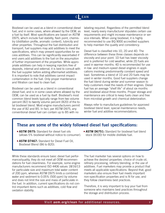Biodiesel can be used as a blend in conventional diesel fuel, and in some cases, where allowed by the OEM, as a fuel by itself. Most specifications are based on ASTM D975, which include fuel stability, flash point, chemistry (distillation profile, aromatic content), lubricity and other properties. Throughout the fuel distribution and transport, fuel suppliers may add additives to meet the specifications, which may present opportunities for excess additives. This can be significantly exacerbated if end users add additives to the fuel on the assumption of further improvement of the properties. While appropriate additives can help in keeping injectors free of deposits, internal and external, it is best to consult with the fuel supplier before adding aftermarket additives. It is important to note that additives cannot impact contamination in the fuel. Only proper maintenance and filtration can lead to clean fuel.

Biodiesel can be used as a blend in conventional diesel fuel, and is in some cases where allowed by the OEM, can be used as a fuel by itself. Biodiesel's most common blend levels typically range from two volume percent (B2) to twenty volume percent (B20) of the total biodiesel blend. Most engine manufacturers permit the use of B2 and B5. In fact, per ASTM D975, any conventional diesel fuel can contain up to B5 with no

labeling required. Regardless of the permitted blend level, nearly every manufacturer stipulates certain use requirements and might increase maintenance or service intervals. When using biodiesel, it is highly recommended to use BQ 9000 accredited suppliers to help maintain the quality and consistency.

Diesel fuel is classified into 1D, 2D and 4D. The difference between these three classes depends on viscosity and pour point. 1D fuel has lower viscosity and is preferred for cold weather, while 2D fuels are used in warmer months. 4D is recommended for use in low- and medium-speed diesel engines in applications involving predominantly constant speed and load. Sometimes a blend of 1D and 2D fuels may be used in winter months. Good fuel suppliers change the fuel blend during winter and summer season to help customers meet the needs of their engines. Diesel fuel has an average "shelf life" of about six months and biodiesel about three months. Proper storage and maintenance are critical to keep fuels clean and free from microbial growth and chemical deterioration.

Always refer to manufacture guidelines for approved biodiesel blend level, special maintenance needs, winter fuel and additive recommendations.

#### **These are some of the widely followed diesel fuel specifications:**

- **ASTM D975:** Standard for diesel fuel oils (allows 5% biodiesel without notice to consumer).
- **ASTM D7467:** Standard for Diesel Fuel Oil, Biodiesel Blend (B6 to B20).

While these standards ensure basic diesel fuel performance/quality, they do not meet all OEM recommendations for fuel cleanliness. For example, some engine manufacturers recommend ISO 4406 values 18/16/13 for particulate size and maximum total water content of 200 ppm, whereas ASTM D975 limits a combined water and sediment to 0.05% (500 ppm) by volume and does not limit the size and mass of particulate in the fuel. In addition, current specifications do not control important items such as additives, cold flow and oxidation stability.

**ASTM D6751:** Standard for biodiesel fuel blend stock (B100) for middle distillate fuel.

The fuel marketer has several options on how to achieve the desired properties: choice of crude oil, refinery processing, refinery blending, or the use of additives. Fuel marketers may provide a product that meets all applicable specifications. Beyond that, good marketers also ensure their fuel meets important non-specification properties and is fit for use, and they follow cleanliness best practices.

Therefore, it is very important to buy your fuel from someone who maintains best practices throughout the storage and distribution process.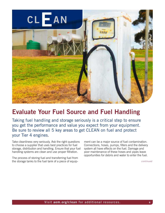

## **Evaluate Your Fuel Source and Fuel Handling**

Taking fuel handling and storage seriously is a critical step to ensure you get the performance and value you expect from your equipment. Be sure to review all 5 key areas to get CLEAN on fuel and protect your Tier 4 engines.

Take cleanliness very seriously. Ask the right questions to choose a supplier that uses best practices for fuel storage, distribution and handling. Ensure that your fuel handling systems are clean and use proper filtration.

The process of storing fuel and transferring fuel from the storage tanks to the fuel tank of a piece of equip-

ment can be a major source of fuel contamination. Connections, hoses, pumps, filters and the delivery system all have effects on the fuel. Damage and poor maintenance of these hoses and pipes leave opportunities for debris and water to enter the fuel.

*continued*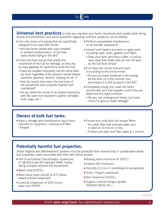**Universal best practices** to help you maintain your fuel's cleanliness and quality while being stored and transferred, plus some questions regarding common problems, are as follows:

- **E** Use only hoses and piping that are specifically designed to be used with diesel.
	- Are flex hoses stored with caps installed to prevent contamination, or are they open-ended laying in the dirt?
- $\blacksquare$  Check the fuel pumps that enable the movement of the fuel for damage, as they are an easy gateway for particles to enter the fuel.
	- Does the supplier improperly use the same delivery truck regardless of the product carried (diesel, biodiesel, gasoline, ethanol, heating oil, etc.)?
	- Has the nozzle that enters the fuel tank of the equipment been properly cleaned and maintained?
	- Do you allow the nozzle to be stored improperly with the open end exposed to gather rainwater, dust, bugs, etc.?
- $\blacksquare$  Perform preventative maintenance on all transfer equipment.
- **n** Inspect and replace any worn or aged parts including caps, seals, gaskets and filters.
	- Does your tank vent have a filter, or just an open pipe that draws dirty air into the tank as the fuel level drops?
- **Purchase the correct fuel and store** it according to the environment.
	- Do you purchase biodiesel in the spring, let the tank sit in the summer sun, and expect it to still be good in the fall?
- **Exampletely empty and clean the tanks** periodically; your fuel supplier could help you determine the right schedule.
	- Do you use underground tanks, but never check for ground water leakage?

#### **Owners of bulk fuel tanks:**

- $\blacksquare$  Keep a storage tank maintenance log to track intervals for inspection, cleaning and filter changes.
- Ensure your bulk tank has proper filters:
	- An outlet filter that removes water and is rated at 10 micron or less.
	- A desiccant-style vent filter rated at 1 micron.

#### **Potentially harmful fuel properties:**

Diesel engines and aftertreatment systems must be protected from several dirty or substandard diesel fuel properties, each associated with their own failure modes:

- Dirt (Fuel Particle Concentration maximums) of 18/16/13 per ISO standard 4406, before being pumped onboard the equipment).
- $\blacksquare$  Water (max 0.02%).
- $\blacksquare$  Wax (cloud point should be 6 $\degree$ C below lowest ambient expected).
- **Lubricity (maximum of 520-micron** wear scar HFRR).
- **Boiling point (minimum of 150°C)**
- $\blacksquare$  Cetane (45 minimum).
- $\blacksquare$  Viscosity (1.3 to 4.1 centistokes is acceptable).
- Sulfur (15ppm maximum).
- $\blacksquare$  Ash (maximum 0.02%).
- Organic controls (fungus growth, biodiesel decay, etc.)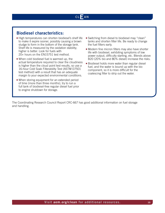#### **Biodiesel characteristics:**

- High temperatures can shorten biodiesel's shelf life to make it expire sooner, possibly causing a brown sludge to form in the bottom of the storage tank. Shelf life is measured by the oxidation stability; higher is better. Look for fuels with 20+ hours on the EN15751 test method.
- $\blacksquare$  When cold biodiesel fuel is warmed up, the actual temperature required to clear the cloudiness is higher than the cloud point test results, so use a 16-hour Cold Soak Filterability Test (ASTM D7501 test method) with a result that has an adequate margin to your expected environmental conditions.
- $\blacksquare$  When storing equipment for an extended period of time (more than three months), try to run a full tank of biodiesel-free regular diesel fuel prior to engine shutdown for storage.
- Switching from diesel to biodiesel may "clean" tanks and shorten filter life. Be ready to change the fuel filters early.
- Modern fine micron filters may also have shorter life with biodiesel, exhibiting symptoms of low power output, difficulty starting, etc. Blends above B20 (20% bio and 80% diesel) increase the risks.
- **Biodiesel holds more water than regular diesel** fuel, and the water is bound up with the bio component, so it is more difficult for the coalescing filter to strip out the water.

The Coordinating Research Council Report CRC-667 has good additional information on fuel storage and handling.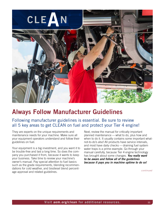

## **Always Follow Manufacturer Guidelines**

#### Following manufacturer guidelines is essential. Be sure to review all 5 key areas to get CLEAN on fuel and protect your Tier 4 engine!

They are experts on the unique requirements and maintenance needs for your machine. Make sure all your equipment operators understand and follow their guidelines on fuel.

Your equipment is a big investment, and you want it to be trouble-free and last a long time. So does the company you purchased it from, because it wants to keep your business. Take time to review your machine's owner's manual. Pay special attention to fuel basics such as the grade requirements, blending recommendations for cold weather, and biodiesel blend percentage approval and related guidelines.

Next, review the manual for critically important planned maintenance — what to do, plus how and when to do it. It usually contains some important whatnot-to-do's also! All products have service intervals, and most have daily checks — draining fuel system water traps is a prime example. Go through your manual carefully, because Tier 4 engine technology has brought about some changes. *You really want to be aware and follow all of the guidelines because it pays you in machine uptime to do so!*

*continued*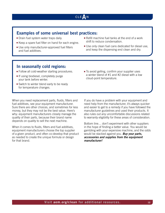#### **Examples of some universal best practices:**

- Drain fuel system water traps daily.
- Keep a spare fuel filter on hand for each engine.
- **Use only manufacturer-approved fuel filters** and fuel additives.
- Refill machine fuel tanks at the end of a work shift to reduce condensation.
- **Journal Use only clean fuel cans dedicated for diesel use.** and keep the dispensing end clean and dry.

#### **In seasonally cold regions:**

- Follow all cold-weather starting procedures.
- **n** If using biodiesel, completely purge your tank before winter.
- Switch to winter blend early to be ready for temperature changes.
- To avoid gelling, confirm your supplier uses a winter blend of #1 and #2 diesel with a low cloud-point temperature.

When you need replacement parts, fluids, filters and fuel additives, see vour equipment manufacturer. Sure there are other choices, and sometimes for less money, but they may not be the best value. Here's why: equipment manufacturers closely manage the quality of their parts, because their brand name depends on quality to sell the next machine.

When it comes to fluids, filters and fuel additives, equipment manufacturers choose the top supplier of a given product, and often co-develop that product as needed to create the unique formula or design for that brand.

If you do have a problem with your equipment and need help from the manufacturer, it's always quicker and easier to get to a remedy if you have followed the manufacturer guidelines and used their products. It also rules out any uncomfortable discussions related to warranty eligibility for these areas of consideration.

Bottom line… don't experiment with other suppliers in the hope of finding a better value. You would be gambling with your expensive machine, and the odds would be stacked against you. *Buy your parts, accessories and supplies from the equipment manufacturer!*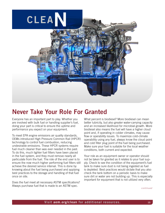

## **Never Take Your Role For Granted**

Everyone has an important part to play. Whether you are involved with bulk fuel or handling supplier's fuel, doing your part is critical to ensure the uptime and performance you expect on your equipment.

To meet EPA engine emissions air quality standards, OEMs introduced High Pressure Common Rail (HPCR) technology to control fuel combustion, reducing undesirable emissions. These HPCR systems require fuel much cleaner than was ever needed in the past. To do this, much tighter fuel filters have been placed in the fuel system, and they must remove nearly all particulate from the fuel. The role of the end user is to ensure the now much higher performing fuel filters still achieve the desired service interval. This is done by knowing about the fuel being purchased and applying best practices to the storage and handling of that fuel once on site.

Does the fuel meet all necessary ASTM specifications? Always purchase fuel that is made to an ASTM spec.

What percent is biodiesel? More biodiesel can mean better lubricity, but also greater water-carrying capacity and an increased likelihood for microbial growth. More biodiesel also means the fuel will have a higher cloud point and, if operating in colder climates, may cause flow or operability issues. To maximize cold-climate operability using any fuel, always know the cloud point and cold filter plug point of the fuel being purchased. Make sure your fuel is suitable for the local weather conditions, both current and expected.

Your role as an equipment owner or operator should not be taken for granted as it relates to your fuel supply. Check to see the condition of the equipment's fuel tank to make sure dust is not being ingested as fuel is depleted. Best practices would dictate that you also check the tank bottom on a periodic basis to make sure dirt or water are not building up. This is especially important for equipment that is not utilized very often.

*continued*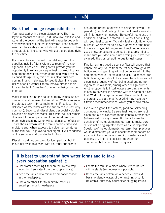#### **Bulk fuel storage responsibilities:**

You must start with a clean storage tank. The "rag layer" remnants of old fuel, dirt, insoluble additive and water at the bottom of the tank will cause issues with any new tanker of fuel that is delivered. Each contaminant can be a catalyst for additional fuel issues, so hire a reputable tank cleaner who will get the job done right the first time.

If you wish to filter the fuel upon delivery from the supplier, install a filter system upstream of the storage tank (if possible). Doing so will provide you the opportunity to refuse delivery of fuel that would cause equipment downtime. When combined with a freshly cleaned storage tank, this ensures clean fuel both coming in and in storage. To keep it clean in storage, utilize a tank breather filter to remove dirt and moisture as the tank "breathes" due to fuel being pumped in or out.

Water in fuel can be the cause of many issues, so precautions must be taken to keep it out. Water can enter the storage tank in three main forms. First, it can be delivered as free water with the supply of fuel (not very common). Second, all diesel blends especially biodiesels can hold dissolved water. This water will not remain dissolved if the temperature of the diesel drops too much (while settling water will condense out of diesel). Third, the air drawn into the tank contains dissolved moisture and, when exposed to colder temperatures of the tank wall (e.g. over a cool night), it will condense on the surfaces and drop to the bottom.

Diesel should not be stored for long periods, but if this is not avoidable, work with your fuel supplier to ensure the proper additives are being employed. Use periodic (monthly) testing of the fuel to make sure it is still fit for use when needed. Be careful not to use any additional additives in stored fuel without consulting with your fuel supplier. Typically, fuel is sold fit for your purpose, whether for cold flow properties or the need to store it longer. Adding more of anything is rarely a good thing, so be sure to consult the supplier first to make sure your decision is not costing you extra money in additives or lost uptime due to fuel issues.

Finally, having a good dispenser filter will ensure that if there are any issues from the refinery through distribution and storage, they will not be delivered into the equipment where uptime can be lost. A dispenser (or bulk) filter system should be chosen based on desired cleanliness, quantity of fuel being used and pumping pressure available, among other design criteria. Another option is to install water-absorbing elements to ensure no water is delivered with the batch of diesel fuel. Work with a reputable fuel filter manufacturer to ensure all goals are met. Your OEM may have bulk filtration recommendations, which you should follow.

Even with a good filter system, good housekeeping continues afterwards. Be sure fuel nozzles are kept clean and out of exposure to the general atmosphere (where dust is always present). Check to see the condition of the equipment's fuel tank to make sure dust is not being ingested there as fuel is depleted. Speaking of the equipment's fuel tank, best practices would dictate that you also check the tank bottom on a periodic basis to make sure dirt or water are not building up. This is especially important for equipment that is not utilized very often.

#### **It is best to understand how water forms and to take every precaution against it:**

- Use water-absorbing filters on the inlet to stop incoming free water from the supplier (rare).
- $\blacksquare$  Keep the tank full to minimize air condensation in the headspace.
- **Use a breather filter to minimize moist air** entering the tank headspace.
- $\blacksquare$  Locate the tank in a place where temperatures will be stable (sometimes not possible).
- $\blacksquare$  Check the tank bottom on a periodic (weekly) basis to identify water, dirt, or anything organic (microbial) that may cause filter plugging issues.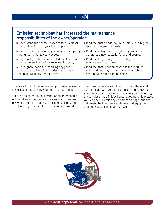#### **Emission technology has increased the maintenance responsibilities of the owner/operator:**

- Understand the characteristics of today's diesel fuel and get to know your fuel supplier.
- Proper diesel fuel sourcing, storing and supplying are fundamental to your success.
- High-quality OEM-recommended fuel filters are the key to engine performance and longevity.
- Don't ignore basic fuel handling "hygiene." It is critical to keep fuel nozzles clean, filters changed regularly and fuel fresh.
- **Biodiesel fuel blends require a unique and higher** level of maintenance needs.
- Biodiesel is hygroscopic, collecting water that generates algae, bacteria, fungi and spores.
- **Biodiesel begins to gel at much higher** temperatures than diesel.
- Biodiesel that is not processed to the required specifications may contain glycerin, which can contribute to rapid filter plugging.

The overall cost of fuel issues and problems outweighs any costs of maintaining your fuel and fuel tanks.

Your role as an equipment owner or operator should not be taken for granted as it relates to your fuel supply. While there are many variables to consider, there are also many best practices that can be followed

to ensure issues are kept to a minimum. Know and communicate with your fuel supplier, and follow the guidelines outlined above for the storage and handling of your diesel fuel. This will ensure you not only protect your engine's injection system from damage, but also help meet the filter service intervals and equipment uptime expectations that you have.